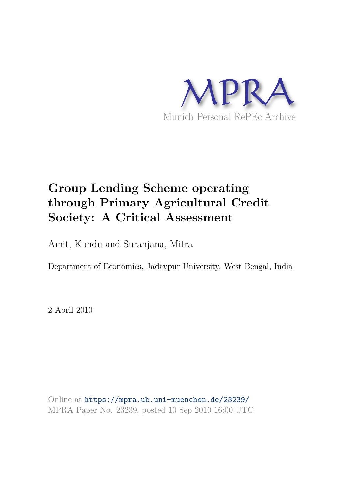

# **Group Lending Scheme operating through Primary Agricultural Credit Society: A Critical Assessment**

Amit, Kundu and Suranjana, Mitra

Department of Economics, Jadavpur University, West Bengal, India

2 April 2010

Online at https://mpra.ub.uni-muenchen.de/23239/ MPRA Paper No. 23239, posted 10 Sep 2010 16:00 UTC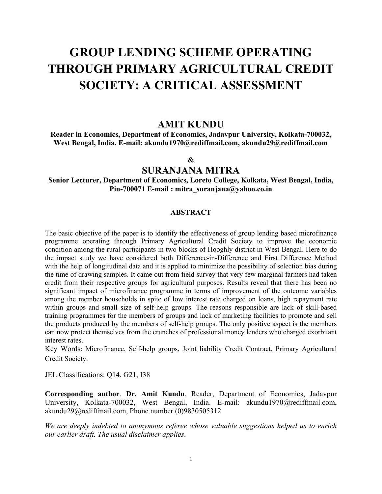# **GROUP LENDING SCHEME OPERATING THROUGH PRIMARY AGRICULTURAL CREDIT SOCIETY: A CRITICAL ASSESSMENT**

## **AMIT KUNDU**

**Reader in Economics, Department of Economics, Jadavpur University, Kolkata-700032, West Bengal, India. E-mail: akundu1970@rediffmail.com, akundu29@rediffmail.com** 

#### **&**

### **SURANJANA MITRA**

**Senior Lecturer, Department of Economics, Loreto College, Kolkata, West Bengal, India, Pin-700071 E-mail : mitra\_suranjana@yahoo.co.in** 

#### **ABSTRACT**

The basic objective of the paper is to identify the effectiveness of group lending based microfinance programme operating through Primary Agricultural Credit Society to improve the economic condition among the rural participants in two blocks of Hooghly district in West Bengal. Here to do the impact study we have considered both Difference-in-Difference and First Difference Method with the help of longitudinal data and it is applied to minimize the possibility of selection bias during the time of drawing samples. It came out from field survey that very few marginal farmers had taken credit from their respective groups for agricultural purposes. Results reveal that there has been no significant impact of microfinance programme in terms of improvement of the outcome variables among the member households in spite of low interest rate charged on loans, high repayment rate within groups and small size of self-help groups. The reasons responsible are lack of skill-based training programmes for the members of groups and lack of marketing facilities to promote and sell the products produced by the members of self-help groups. The only positive aspect is the members can now protect themselves from the crunches of professional money lenders who charged exorbitant interest rates.

Key Words: Microfinance, Self-help groups, Joint liability Credit Contract, Primary Agricultural Credit Society.

JEL Classifications: Q14, G21, I38

**Corresponding author**. **Dr. Amit Kundu**, Reader, Department of Economics, Jadavpur University, Kolkata-700032, West Bengal, India. E-mail: akundu1970@rediffmail.com, akundu29@rediffmail.com, Phone number (0)9830505312

*We are deeply indebted to anonymous referee whose valuable suggestions helped us to enrich our earlier draft. The usual disclaimer applies*.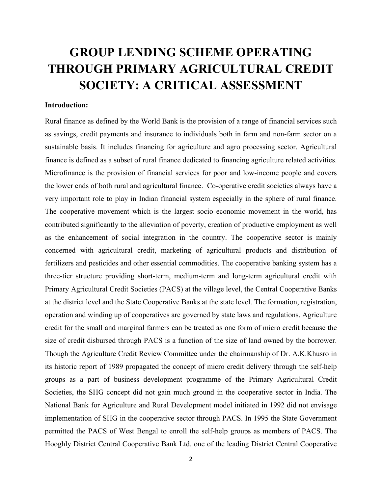# **GROUP LENDING SCHEME OPERATING THROUGH PRIMARY AGRICULTURAL CREDIT SOCIETY: A CRITICAL ASSESSMENT**

#### **Introduction:**

Rural finance as defined by the World Bank is the provision of a range of financial services such as savings, credit payments and insurance to individuals both in farm and non-farm sector on a sustainable basis. It includes financing for agriculture and agro processing sector. Agricultural finance is defined as a subset of rural finance dedicated to financing agriculture related activities. Microfinance is the provision of financial services for poor and low-income people and covers the lower ends of both rural and agricultural finance. Co-operative credit societies always have a very important role to play in Indian financial system especially in the sphere of rural finance. The cooperative movement which is the largest socio economic movement in the world, has contributed significantly to the alleviation of poverty, creation of productive employment as well as the enhancement of social integration in the country. The cooperative sector is mainly concerned with agricultural credit, marketing of agricultural products and distribution of fertilizers and pesticides and other essential commodities. The cooperative banking system has a three-tier structure providing short-term, medium-term and long-term agricultural credit with Primary Agricultural Credit Societies (PACS) at the village level, the Central Cooperative Banks at the district level and the State Cooperative Banks at the state level. The formation, registration, operation and winding up of cooperatives are governed by state laws and regulations. Agriculture credit for the small and marginal farmers can be treated as one form of micro credit because the size of credit disbursed through PACS is a function of the size of land owned by the borrower. Though the Agriculture Credit Review Committee under the chairmanship of Dr. A.K.Khusro in its historic report of 1989 propagated the concept of micro credit delivery through the self-help groups as a part of business development programme of the Primary Agricultural Credit Societies, the SHG concept did not gain much ground in the cooperative sector in India. The National Bank for Agriculture and Rural Development model initiated in 1992 did not envisage implementation of SHG in the cooperative sector through PACS. In 1995 the State Government permitted the PACS of West Bengal to enroll the self-help groups as members of PACS. The Hooghly District Central Cooperative Bank Ltd. one of the leading District Central Cooperative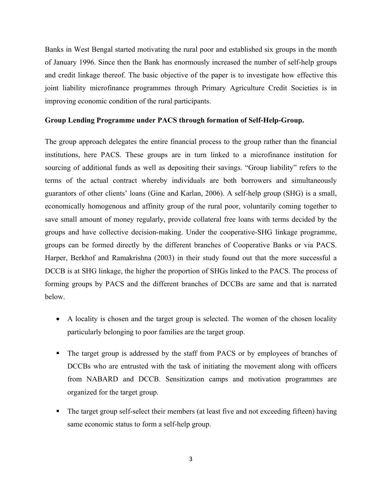Banks in West Bengal started motivating the rural poor and established six groups in the month of January 1996. Since then the Bank has enormously increased the number of self-help groups and credit linkage thereof. The basic objective of the paper is to investigate how effective this joint liability microfinance programmes through Primary Agriculture Credit Societies is in improving economic condition of the rural participants.

#### **Group Lending Programme under PACS through formation of Self-Help-Group.**

The group approach delegates the entire financial process to the group rather than the financial institutions, here PACS. These groups are in turn linked to a microfinance institution for sourcing of additional funds as well as depositing their savings. "Group liability" refers to the terms of the actual contract whereby individuals are both borrowers and simultaneously guarantors of other clients' loans (Gine and Karlan, 2006). A self-help group (SHG) is a small, economically homogenous and affinity group of the rural poor, voluntarily coming together to save small amount of money regularly, provide collateral free loans with terms decided by the groups and have collective decision-making. Under the cooperative-SHG linkage programme, groups can be formed directly by the different branches of Cooperative Banks or via PACS. Harper, Berkhof and Ramakrishna (2003) in their study found out that the more successful a DCCB is at SHG linkage, the higher the proportion of SHGs linked to the PACS. The process of forming groups by PACS and the different branches of DCCBs are same and that is narrated below.

- A locality is chosen and the target group is selected. The women of the chosen locality particularly belonging to poor families are the target group.
- The target group is addressed by the staff from PACS or by employees of branches of DCCBs who are entrusted with the task of initiating the movement along with officers from NABARD and DCCB. Sensitization camps and motivation programmes are organized for the target group.
- The target group self-select their members (at least five and not exceeding fifteen) having same economic status to form a self-help group.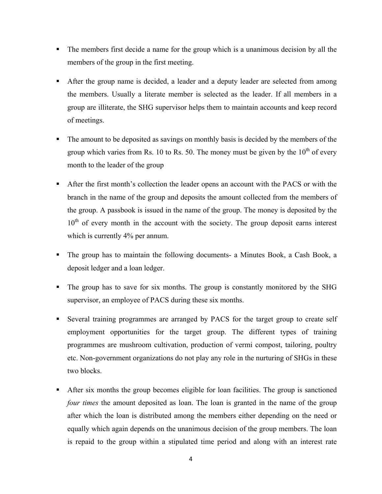- The members first decide a name for the group which is a unanimous decision by all the members of the group in the first meeting.
- After the group name is decided, a leader and a deputy leader are selected from among the members. Usually a literate member is selected as the leader. If all members in a group are illiterate, the SHG supervisor helps them to maintain accounts and keep record of meetings.
- The amount to be deposited as savings on monthly basis is decided by the members of the group which varies from Rs. 10 to Rs. 50. The money must be given by the  $10<sup>th</sup>$  of every month to the leader of the group
- After the first month's collection the leader opens an account with the PACS or with the branch in the name of the group and deposits the amount collected from the members of the group. A passbook is issued in the name of the group. The money is deposited by the  $10<sup>th</sup>$  of every month in the account with the society. The group deposit earns interest which is currently 4% per annum.
- The group has to maintain the following documents- a Minutes Book, a Cash Book, a deposit ledger and a loan ledger.
- The group has to save for six months. The group is constantly monitored by the SHG supervisor, an employee of PACS during these six months.
- Several training programmes are arranged by PACS for the target group to create self employment opportunities for the target group. The different types of training programmes are mushroom cultivation, production of vermi compost, tailoring, poultry etc. Non-government organizations do not play any role in the nurturing of SHGs in these two blocks.
- After six months the group becomes eligible for loan facilities. The group is sanctioned *four times* the amount deposited as loan. The loan is granted in the name of the group after which the loan is distributed among the members either depending on the need or equally which again depends on the unanimous decision of the group members. The loan is repaid to the group within a stipulated time period and along with an interest rate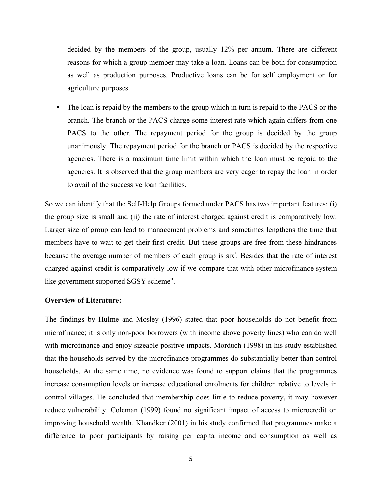decided by the members of the group, usually 12% per annum. There are different reasons for which a group member may take a loan. Loans can be both for consumption as well as production purposes. Productive loans can be for self employment or for agriculture purposes.

The loan is repaid by the members to the group which in turn is repaid to the PACS or the branch. The branch or the PACS charge some interest rate which again differs from one PACS to the other. The repayment period for the group is decided by the group unanimously. The repayment period for the branch or PACS is decided by the respective agencies. There is a maximum time limit within which the loan must be repaid to the agencies. It is observed that the group members are very eager to repay the loan in order to avail of the successive loan facilities.

So we can identify that the Self-Help Groups formed under PACS has two important features: (i) the group size is small and (ii) the rate of interest charged against credit is comparatively low. Larger size of group can lead to management problems and sometimes lengthens the time that members have to wait to get their first credit. But these groups are free from these hindrances because the average number of members of each group is  $six<sup>i</sup>$ . Besides that the rate of interest charged against credit is comparatively low if we compare that with other microfinance system like government supported SGSY scheme<sup>ii</sup>.

#### **Overview of Literature:**

The findings by Hulme and Mosley (1996) stated that poor households do not benefit from microfinance; it is only non-poor borrowers (with income above poverty lines) who can do well with microfinance and enjoy sizeable positive impacts. Morduch (1998) in his study established that the households served by the microfinance programmes do substantially better than control households. At the same time, no evidence was found to support claims that the programmes increase consumption levels or increase educational enrolments for children relative to levels in control villages. He concluded that membership does little to reduce poverty, it may however reduce vulnerability. Coleman (1999) found no significant impact of access to microcredit on improving household wealth. Khandker (2001) in his study confirmed that programmes make a difference to poor participants by raising per capita income and consumption as well as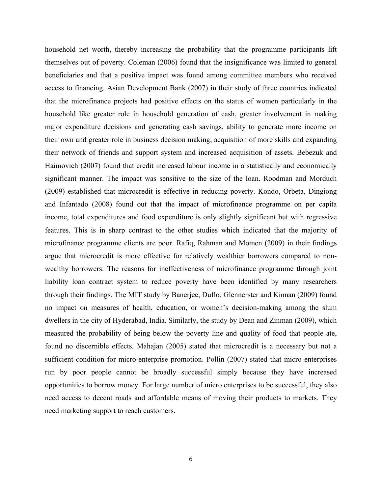household net worth, thereby increasing the probability that the programme participants lift themselves out of poverty. Coleman (2006) found that the insignificance was limited to general beneficiaries and that a positive impact was found among committee members who received access to financing. Asian Development Bank (2007) in their study of three countries indicated that the microfinance projects had positive effects on the status of women particularly in the household like greater role in household generation of cash, greater involvement in making major expenditure decisions and generating cash savings, ability to generate more income on their own and greater role in business decision making, acquisition of more skills and expanding their network of friends and support system and increased acquisition of assets. Bebezuk and Haimovich (2007) found that credit increased labour income in a statistically and economically significant manner. The impact was sensitive to the size of the loan. Roodman and Morduch (2009) established that microcredit is effective in reducing poverty. Kondo, Orbeta, Dingiong and Infantado (2008) found out that the impact of microfinance programme on per capita income, total expenditures and food expenditure is only slightly significant but with regressive features. This is in sharp contrast to the other studies which indicated that the majority of microfinance programme clients are poor. Rafiq, Rahman and Momen (2009) in their findings argue that microcredit is more effective for relatively wealthier borrowers compared to nonwealthy borrowers. The reasons for ineffectiveness of microfinance programme through joint liability loan contract system to reduce poverty have been identified by many researchers through their findings. The MIT study by Banerjee, Duflo, Glennerster and Kinnan (2009) found no impact on measures of health, education, or women's decision-making among the slum dwellers in the city of Hyderabad, India. Similarly, the study by Dean and Zinman (2009), which measured the probability of being below the poverty line and quality of food that people ate, found no discernible effects. Mahajan (2005) stated that microcredit is a necessary but not a sufficient condition for micro-enterprise promotion. Pollin (2007) stated that micro enterprises run by poor people cannot be broadly successful simply because they have increased opportunities to borrow money. For large number of micro enterprises to be successful, they also need access to decent roads and affordable means of moving their products to markets. They need marketing support to reach customers.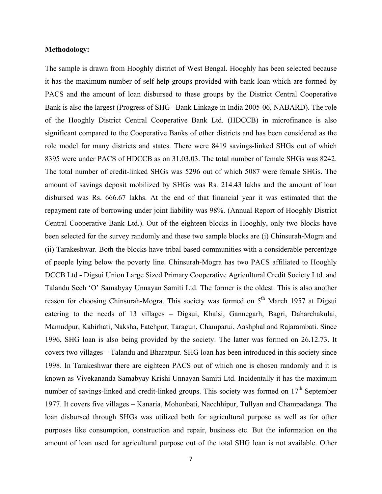#### **Methodology:**

The sample is drawn from Hooghly district of West Bengal. Hooghly has been selected because it has the maximum number of self-help groups provided with bank loan which are formed by PACS and the amount of loan disbursed to these groups by the District Central Cooperative Bank is also the largest (Progress of SHG –Bank Linkage in India 2005-06, NABARD). The role of the Hooghly District Central Cooperative Bank Ltd. (HDCCB) in microfinance is also significant compared to the Cooperative Banks of other districts and has been considered as the role model for many districts and states. There were 8419 savings-linked SHGs out of which 8395 were under PACS of HDCCB as on 31.03.03. The total number of female SHGs was 8242. The total number of credit-linked SHGs was 5296 out of which 5087 were female SHGs. The amount of savings deposit mobilized by SHGs was Rs. 214.43 lakhs and the amount of loan disbursed was Rs. 666.67 lakhs. At the end of that financial year it was estimated that the repayment rate of borrowing under joint liability was 98%. (Annual Report of Hooghly District Central Cooperative Bank Ltd.). Out of the eighteen blocks in Hooghly, only two blocks have been selected for the survey randomly and these two sample blocks are (i) Chinsurah-Mogra and (ii) Tarakeshwar. Both the blocks have tribal based communities with a considerable percentage of people lying below the poverty line. Chinsurah-Mogra has two PACS affiliated to Hooghly DCCB Ltd **-** Digsui Union Large Sized Primary Cooperative Agricultural Credit Society Ltd. and Talandu Sech 'O' Samabyay Unnayan Samiti Ltd. The former is the oldest. This is also another reason for choosing Chinsurah-Mogra. This society was formed on 5<sup>th</sup> March 1957 at Digsui catering to the needs of 13 villages – Digsui, Khalsi, Gannegarh, Bagri, Daharchakulai, Mamudpur, Kabirhati, Naksha, Fatehpur, Taragun, Champarui, Aashphal and Rajarambati. Since 1996, SHG loan is also being provided by the society. The latter was formed on 26.12.73. It covers two villages – Talandu and Bharatpur. SHG loan has been introduced in this society since 1998. In Tarakeshwar there are eighteen PACS out of which one is chosen randomly and it is known as Vivekananda Samabyay Krishi Unnayan Samiti Ltd. Incidentally it has the maximum number of savings-linked and credit-linked groups. This society was formed on  $17<sup>th</sup>$  September 1977. It covers five villages – Kanaria, Mohonbati, Nacchhipur, Tullyan and Champadanga. The loan disbursed through SHGs was utilized both for agricultural purpose as well as for other purposes like consumption, construction and repair, business etc. But the information on the amount of loan used for agricultural purpose out of the total SHG loan is not available. Other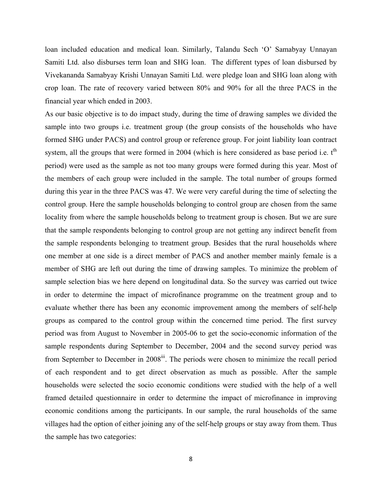loan included education and medical loan. Similarly, Talandu Sech 'O' Samabyay Unnayan Samiti Ltd. also disburses term loan and SHG loan. The different types of loan disbursed by Vivekananda Samabyay Krishi Unnayan Samiti Ltd. were pledge loan and SHG loan along with crop loan. The rate of recovery varied between 80% and 90% for all the three PACS in the financial year which ended in 2003.

As our basic objective is to do impact study, during the time of drawing samples we divided the sample into two groups i.e. treatment group (the group consists of the households who have formed SHG under PACS) and control group or reference group. For joint liability loan contract system, all the groups that were formed in 2004 (which is here considered as base period i.e.  $t<sup>th</sup>$ period) were used as the sample as not too many groups were formed during this year. Most of the members of each group were included in the sample. The total number of groups formed during this year in the three PACS was 47. We were very careful during the time of selecting the control group. Here the sample households belonging to control group are chosen from the same locality from where the sample households belong to treatment group is chosen. But we are sure that the sample respondents belonging to control group are not getting any indirect benefit from the sample respondents belonging to treatment group. Besides that the rural households where one member at one side is a direct member of PACS and another member mainly female is a member of SHG are left out during the time of drawing samples. To minimize the problem of sample selection bias we here depend on longitudinal data. So the survey was carried out twice in order to determine the impact of microfinance programme on the treatment group and to evaluate whether there has been any economic improvement among the members of self-help groups as compared to the control group within the concerned time period. The first survey period was from August to November in 2005-06 to get the socio-economic information of the sample respondents during September to December, 2004 and the second survey period was from September to December in 2008<sup>iii</sup>. The periods were chosen to minimize the recall period of each respondent and to get direct observation as much as possible. After the sample households were selected the socio economic conditions were studied with the help of a well framed detailed questionnaire in order to determine the impact of microfinance in improving economic conditions among the participants. In our sample, the rural households of the same villages had the option of either joining any of the self-help groups or stay away from them. Thus the sample has two categories: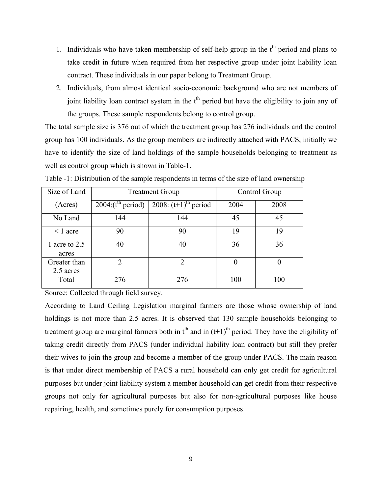- 1. Individuals who have taken membership of self-help group in the  $t<sup>th</sup>$  period and plans to take credit in future when required from her respective group under joint liability loan contract. These individuals in our paper belong to Treatment Group.
- 2. Individuals, from almost identical socio-economic background who are not members of joint liability loan contract system in the  $t<sup>th</sup>$  period but have the eligibility to join any of the groups. These sample respondents belong to control group.

The total sample size is 376 out of which the treatment group has 276 individuals and the control group has 100 individuals. As the group members are indirectly attached with PACS, initially we have to identify the size of land holdings of the sample households belonging to treatment as well as control group which is shown in Table-1.

| Size of Land              |                                   | <b>Treatment Group</b>             | Control Group |          |
|---------------------------|-----------------------------------|------------------------------------|---------------|----------|
| (Acres)                   | $2004$ :( $t^{\text{th}}$ period) | 2008: $(t+1)$ <sup>th</sup> period | 2004          | 2008     |
| No Land                   | 144                               | 144                                | 45            | 45       |
| $\leq 1$ acre             | 90                                | 90                                 | 19            | 19       |
| 1 acre to 2.5<br>acres    | 40                                | 40                                 | 36            | 36       |
| Greater than<br>2.5 acres | $\mathcal{D}$                     | $\overline{2}$                     | 0             | $\theta$ |
| Total                     | 276                               | 276                                | 100           | 100      |

Table -1: Distribution of the sample respondents in terms of the size of land ownership

Source: Collected through field survey.

According to Land Ceiling Legislation marginal farmers are those whose ownership of land holdings is not more than 2.5 acres. It is observed that 130 sample households belonging to treatment group are marginal farmers both in  $t<sup>th</sup>$  and in  $(t+1)<sup>th</sup>$  period. They have the eligibility of taking credit directly from PACS (under individual liability loan contract) but still they prefer their wives to join the group and become a member of the group under PACS. The main reason is that under direct membership of PACS a rural household can only get credit for agricultural purposes but under joint liability system a member household can get credit from their respective groups not only for agricultural purposes but also for non-agricultural purposes like house repairing, health, and sometimes purely for consumption purposes.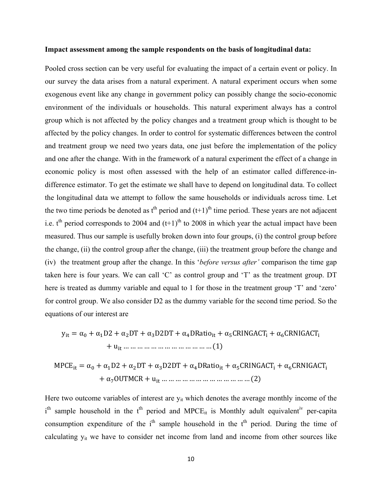#### **Impact assessment among the sample respondents on the basis of longitudinal data:**

Pooled cross section can be very useful for evaluating the impact of a certain event or policy. In our survey the data arises from a natural experiment. A natural experiment occurs when some exogenous event like any change in government policy can possibly change the socio-economic environment of the individuals or households. This natural experiment always has a control group which is not affected by the policy changes and a treatment group which is thought to be affected by the policy changes. In order to control for systematic differences between the control and treatment group we need two years data, one just before the implementation of the policy and one after the change. With in the framework of a natural experiment the effect of a change in economic policy is most often assessed with the help of an estimator called difference-indifference estimator. To get the estimate we shall have to depend on longitudinal data. To collect the longitudinal data we attempt to follow the same households or individuals across time. Let the two time periods be denoted as  $t<sup>th</sup>$  period and  $(t+1)<sup>th</sup>$  time period. These years are not adjacent i.e.  $t^{\text{th}}$  period corresponds to 2004 and  $(t+1)^{\text{th}}$  to 2008 in which year the actual impact have been measured. Thus our sample is usefully broken down into four groups, (i) the control group before the change, (ii) the control group after the change, (iii) the treatment group before the change and (iv) the treatment group after the change. In this '*before versus after'* comparison the time gap taken here is four years. We can call 'C' as control group and 'T' as the treatment group. DT here is treated as dummy variable and equal to 1 for those in the treatment group 'T' and 'zero' for control group. We also consider D2 as the dummy variable for the second time period. So the equations of our interest are

$$
y_{it} = \alpha_0 + \alpha_1 D2 + \alpha_2 DT + \alpha_3 D2DT + \alpha_4 DRatio_{it} + \alpha_5 CRINGACT_i + \alpha_6 CRNIGACT_i
$$
  
+ 
$$
u_{it} \dots \dots \dots \dots \dots \dots \dots \dots \dots \dots \dots \dots \dots \dots \dots (1)
$$

MPCE୧୲ ൌ α αଵD2 αଶDT αଷD2DT αସDRatio୧୲ αହCRINGACT<sup>୧</sup> αCRNIGACT<sup>୧</sup> αOUTMCR u୧୲ … … … … … … … … … … … … … ሺ2ሻ

Here two outcome variables of interest are  $y_{it}$  which denotes the average monthly income of the i<sup>th</sup> sample household in the t<sup>th</sup> period and MPCE<sub>it</sub> is Monthly adult equivalent<sup>iv</sup> per-capita consumption expenditure of the  $i<sup>th</sup>$  sample household in the  $t<sup>th</sup>$  period. During the time of calculating  $y_{it}$  we have to consider net income from land and income from other sources like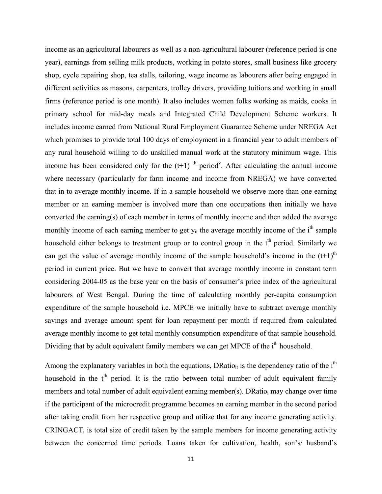income as an agricultural labourers as well as a non-agricultural labourer (reference period is one year), earnings from selling milk products, working in potato stores, small business like grocery shop, cycle repairing shop, tea stalls, tailoring, wage income as labourers after being engaged in different activities as masons, carpenters, trolley drivers, providing tuitions and working in small firms (reference period is one month). It also includes women folks working as maids, cooks in primary school for mid-day meals and Integrated Child Development Scheme workers. It includes income earned from National Rural Employment Guarantee Scheme under NREGA Act which promises to provide total 100 days of employment in a financial year to adult members of any rural household willing to do unskilled manual work at the statutory minimum wage. This income has been considered only for the  $(t+1)$  <sup>th</sup> period<sup>v</sup>. After calculating the annual income where necessary (particularly for farm income and income from NREGA) we have converted that in to average monthly income. If in a sample household we observe more than one earning member or an earning member is involved more than one occupations then initially we have converted the earning(s) of each member in terms of monthly income and then added the average monthly income of each earning member to get  $y_{it}$  the average monthly income of the  $i<sup>th</sup>$  sample household either belongs to treatment group or to control group in the t<sup>th</sup> period. Similarly we can get the value of average monthly income of the sample household's income in the  $(t+1)^{th}$ period in current price. But we have to convert that average monthly income in constant term considering 2004-05 as the base year on the basis of consumer's price index of the agricultural labourers of West Bengal. During the time of calculating monthly per-capita consumption expenditure of the sample household i.e. MPCE we initially have to subtract average monthly savings and average amount spent for loan repayment per month if required from calculated average monthly income to get total monthly consumption expenditure of that sample household. Dividing that by adult equivalent family members we can get MPCE of the i<sup>th</sup> household.

Among the explanatory variables in both the equations,  $DRatio_{it}$  is the dependency ratio of the i<sup>th</sup> household in the  $t<sup>th</sup>$  period. It is the ratio between total number of adult equivalent family members and total number of adult equivalent earning member(s). DRatio<sub>i</sub> may change over time if the participant of the microcredit programme becomes an earning member in the second period after taking credit from her respective group and utilize that for any income generating activity.  $CRINGACT<sub>i</sub>$  is total size of credit taken by the sample members for income generating activity between the concerned time periods. Loans taken for cultivation, health, son's/ husband's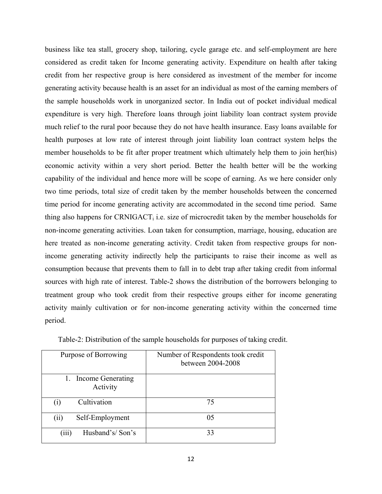business like tea stall, grocery shop, tailoring, cycle garage etc. and self-employment are here considered as credit taken for Income generating activity. Expenditure on health after taking credit from her respective group is here considered as investment of the member for income generating activity because health is an asset for an individual as most of the earning members of the sample households work in unorganized sector. In India out of pocket individual medical expenditure is very high. Therefore loans through joint liability loan contract system provide much relief to the rural poor because they do not have health insurance. Easy loans available for health purposes at low rate of interest through joint liability loan contract system helps the member households to be fit after proper treatment which ultimately help them to join her(his) economic activity within a very short period. Better the health better will be the working capability of the individual and hence more will be scope of earning. As we here consider only two time periods, total size of credit taken by the member households between the concerned time period for income generating activity are accommodated in the second time period. Same thing also happens for CRNIGACT<sub>i</sub> i.e. size of microcredit taken by the member households for non-income generating activities. Loan taken for consumption, marriage, housing, education are here treated as non-income generating activity. Credit taken from respective groups for nonincome generating activity indirectly help the participants to raise their income as well as consumption because that prevents them to fall in to debt trap after taking credit from informal sources with high rate of interest. Table-2 shows the distribution of the borrowers belonging to treatment group who took credit from their respective groups either for income generating activity mainly cultivation or for non-income generating activity within the concerned time period.

| Purpose of Borrowing                | Number of Respondents took credit<br>between 2004-2008 |
|-------------------------------------|--------------------------------------------------------|
| Income Generating<br>1.<br>Activity |                                                        |
| Cultivation<br>$\rm(i)$             | 75                                                     |
| Self-Employment<br>(ii)             | 05                                                     |
| Husband's/Son's<br>(iii)            | 33                                                     |

Table-2: Distribution of the sample households for purposes of taking credit.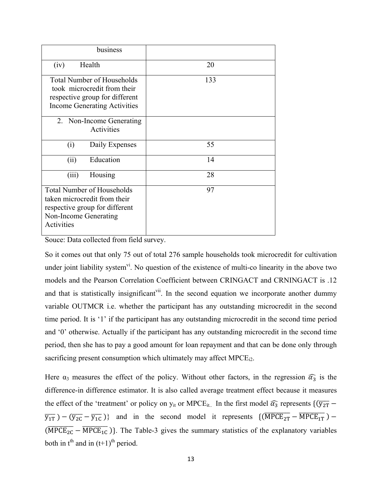| business                                                                                                                                   |     |
|--------------------------------------------------------------------------------------------------------------------------------------------|-----|
| Health<br>(iv)                                                                                                                             | 20  |
| <b>Total Number of Households</b><br>took microcredit from their<br>respective group for different<br><b>Income Generating Activities</b>  | 133 |
| 2. Non-Income Generating<br>Activities                                                                                                     |     |
| Daily Expenses<br>(i)                                                                                                                      | 55  |
| Education<br>(ii)                                                                                                                          | 14  |
| Housing<br>(iii)                                                                                                                           | 28  |
| <b>Total Number of Households</b><br>taken microcredit from their<br>respective group for different<br>Non-Income Generating<br>Activities | 97  |

Souce: Data collected from field survey.

So it comes out that only 75 out of total 276 sample households took microcredit for cultivation under joint liability system<sup>vi</sup>. No question of the existence of multi-co linearity in the above two models and the Pearson Correlation Coefficient between CRINGACT and CRNINGACT is .12 and that is statistically insignificant<sup>vii</sup>. In the second equation we incorporate another dummy variable OUTMCR i.e. whether the participant has any outstanding microcredit in the second time period. It is '1' if the participant has any outstanding microcredit in the second time period and '0' otherwise. Actually if the participant has any outstanding microcredit in the second time period, then she has to pay a good amount for loan repayment and that can be done only through sacrificing present consumption which ultimately may affect MPCE<sub>12</sub>.

Here  $\alpha_3$  measures the effect of the policy. Without other factors, in the regression  $\widehat{\alpha_3}$  is the difference-in difference estimator. It is also called average treatment effect because it measures the effect of the 'treatment' or policy on  $y_{it}$  or MPCE<sub>it..</sub> In the first model  $\widehat{\alpha_3}$  represents  $\{(\overline{y_{2T}} \overline{y_{1T}}$ ) –  $(\overline{y_{2C}} - \overline{y_{1C}})$  and in the second model it represents  $\left\{(\overline{MPCE_{2T}} - \overline{MPCE_{1T}}\right)$  –  $(\overline{MPCE_{2C}} - \overline{MPCE_{1C}})$ . The Table-3 gives the summary statistics of the explanatory variables both in  $t<sup>th</sup>$  and in  $(t+1)<sup>th</sup>$  period.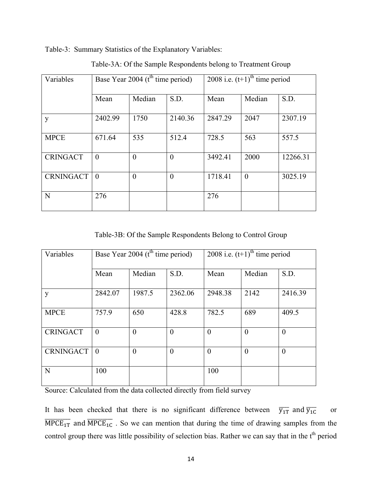Table-3: Summary Statistics of the Explanatory Variables:

| Variables        | Base Year 2004 ( $tth$ time period) |          |                | 2008 i.e. $(t+1)$ <sup>th</sup> time period |          |          |
|------------------|-------------------------------------|----------|----------------|---------------------------------------------|----------|----------|
|                  | Mean                                | Median   | S.D.           | Mean                                        | Median   | S.D.     |
| y                | 2402.99                             | 1750     | 2140.36        | 2847.29                                     | 2047     | 2307.19  |
| <b>MPCE</b>      | 671.64                              | 535      | 512.4          | 728.5                                       | 563      | 557.5    |
| <b>CRINGACT</b>  | $\theta$                            | $\theta$ | $\theta$       | 3492.41                                     | 2000     | 12266.31 |
| <b>CRNINGACT</b> | $\theta$                            | $\theta$ | $\overline{0}$ | 1718.41                                     | $\theta$ | 3025.19  |
| $\mathbf N$      | 276                                 |          |                | 276                                         |          |          |

Table-3A: Of the Sample Respondents belong to Treatment Group

Table-3B: Of the Sample Respondents Belong to Control Group

| Variables        | Base Year 2004 (t <sup>th</sup> time period) |          | 2008 i.e. $(t+1)$ <sup>th</sup> time period |          |          |          |
|------------------|----------------------------------------------|----------|---------------------------------------------|----------|----------|----------|
|                  | Mean                                         | Median   | S.D.                                        | Mean     | Median   | S.D.     |
| y                | 2842.07                                      | 1987.5   | 2362.06                                     | 2948.38  | 2142     | 2416.39  |
| <b>MPCE</b>      | 757.9                                        | 650      | 428.8                                       | 782.5    | 689      | 409.5    |
| <b>CRINGACT</b>  | $\theta$                                     | $\theta$ | $\overline{0}$                              | $\theta$ | $\theta$ | $\theta$ |
| <b>CRNINGACT</b> | $\theta$                                     | $\theta$ | $\theta$                                    | $\theta$ | $\theta$ | $\theta$ |
| N                | 100                                          |          |                                             | 100      |          |          |

Source: Calculated from the data collected directly from field survey

It has been checked that there is no significant difference between  $\overline{y_{1T}}$  and  $\overline{y_{1C}}$  or  $\overline{MPCE_{1T}}$  and  $\overline{MPCE_{1C}}$  . So we can mention that during the time of drawing samples from the control group there was little possibility of selection bias. Rather we can say that in the t<sup>th</sup> period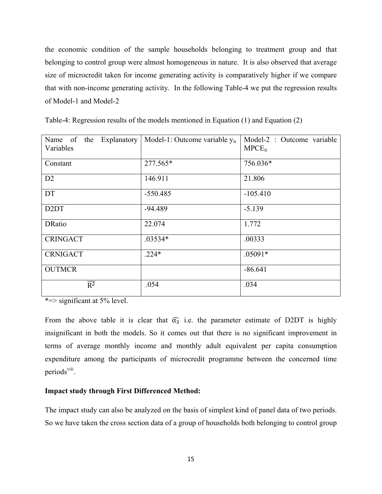the economic condition of the sample households belonging to treatment group and that belonging to control group were almost homogeneous in nature. It is also observed that average size of microcredit taken for income generating activity is comparatively higher if we compare that with non-income generating activity. In the following Table-4 we put the regression results of Model-1 and Model-2

| Name of the<br>Explanatory<br>Variables | Model-1: Outcome variable $y_{it}$ | Model-2 : Outcome variable<br>$M PCE_{it}$ |
|-----------------------------------------|------------------------------------|--------------------------------------------|
| Constant                                | 277.565*                           | 756.036*                                   |
| D2                                      | 146.911                            | 21.806                                     |
| <b>DT</b>                               | $-550.485$                         | $-105.410$                                 |
| D <sub>2</sub> D <sub>T</sub>           | $-94.489$                          | $-5.139$                                   |
| <b>DRatio</b>                           | 22.074                             | 1.772                                      |
| <b>CRINGACT</b>                         | $.03534*$                          | .00333                                     |
| <b>CRNIGACT</b>                         | $.224*$                            | $.05091*$                                  |
| <b>OUTMCR</b>                           |                                    | $-86.641$                                  |
| $\overline{R^2}$                        | .054                               | .034                                       |

Table-4: Regression results of the models mentioned in Equation (1) and Equation (2)

\*=> significant at 5% level.

From the above table it is clear that  $\widehat{\alpha_3}$  i.e. the parameter estimate of D2DT is highly insignificant in both the models. So it comes out that there is no significant improvement in terms of average monthly income and monthly adult equivalent per capita consumption expenditure among the participants of microcredit programme between the concerned time periods<sup>viii</sup>.

### **Impact study through First Differenced Method:**

The impact study can also be analyzed on the basis of simplest kind of panel data of two periods. So we have taken the cross section data of a group of households both belonging to control group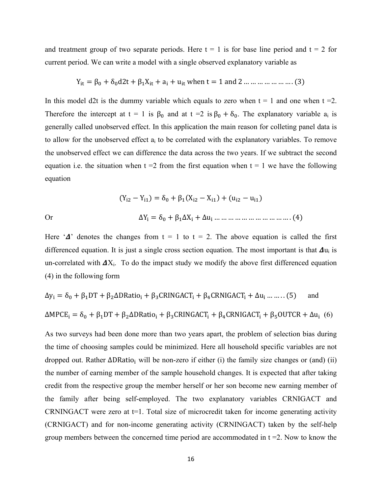and treatment group of two separate periods. Here  $t = 1$  is for base line period and  $t = 2$  for current period. We can write a model with a single observed explanatory variable as

$$
Y_{it} = \beta_0 + \delta_0 d2t + \beta_1 X_{it} + a_i + u_{it}
$$
 when  $t = 1$  and  $2 \dots \dots \dots \dots \dots \dots \dots$  (3)

In this model d2t is the dummy variable which equals to zero when  $t = 1$  and one when  $t = 2$ . Therefore the intercept at  $t = 1$  is  $\beta_0$  and at  $t = 2$  is  $\beta_0 + \delta_0$ . The explanatory variable  $a_i$  is generally called unobserved effect. In this application the main reason for colleting panel data is to allow for the unobserved effect  $a_i$  to be correlated with the explanatory variables. To remove the unobserved effect we can difference the data across the two years. If we subtract the second equation i.e. the situation when  $t = 2$  from the first equation when  $t = 1$  we have the following equation

ሺY୧ଶ െ Y୧ଵሻൌδ β<sup>ଵ</sup> ሺX୧ଶ െ X୧ଵሻ ሺu୧ଶ െ u୧ଵሻ Or ΔY<sup>୧</sup> ൌ δ βଵΔX<sup>୧</sup> Δu<sup>୧</sup> … … … … … … … … … … … . ሺ4ሻ

Here ' $\Delta$ ' denotes the changes from t = 1 to t = 2. The above equation is called the first differenced equation. It is just a single cross section equation. The most important is that  $\Delta u_i$  is un-correlated with  $\Delta X_i$ . To do the impact study we modify the above first differenced equation (4) in the following form

$$
\Delta y_i = \delta_0 + \beta_1 DT + \beta_2 \Delta DRatio_i + \beta_3 CRINGACT_i + \beta_4 CRNIGACT_i + \Delta u_i \dots \dots (5) \quad \text{and}
$$
  
\n
$$
\Delta MPCE_i = \delta_0 + \beta_1 DT + \beta_2 \Delta DRatio_i + \beta_3 CRINGACT_i + \beta_4 CRNIGACT_i + \beta_5 OUTCR + \Delta u_i \quad (6)
$$

As two surveys had been done more than two years apart, the problem of selection bias during the time of choosing samples could be minimized. Here all household specific variables are not dropped out. Rather  $\Delta$ DRatio<sub>i</sub> will be non-zero if either (i) the family size changes or (and) (ii) the number of earning member of the sample household changes. It is expected that after taking credit from the respective group the member herself or her son become new earning member of the family after being self-employed. The two explanatory variables CRNIGACT and CRNINGACT were zero at t=1. Total size of microcredit taken for income generating activity (CRNIGACT) and for non-income generating activity (CRNINGACT) taken by the self-help group members between the concerned time period are accommodated in  $t = 2$ . Now to know the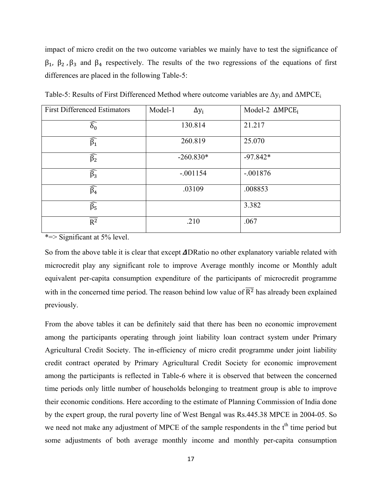impact of micro credit on the two outcome variables we mainly have to test the significance of  $\beta_1$ ,  $\beta_2$ ,  $\beta_3$  and  $\beta_4$  respectively. The results of the two regressions of the equations of first differences are placed in the following Table-5:

| <b>First Differenced Estimators</b> | Model-1<br>$\Delta y_i$ | Model-2 $\triangle M PCE_i$ |
|-------------------------------------|-------------------------|-----------------------------|
| $\widehat{\delta_0}$                | 130.814                 | 21.217                      |
| $\widehat{\beta_1}$                 | 260.819                 | 25.070                      |
| $\widehat{\beta_2}$                 | $-260.830*$             | $-97.842*$                  |
| $\widehat{\beta_3}$                 | $-.001154$              | $-.001876$                  |
| $\widehat{\beta_4}$                 | .03109                  | .008853                     |
| $\widehat{\beta_5}$                 |                         | 3.382                       |
| $\overline{R^2}$                    | .210                    | .067                        |

Table-5: Results of First Differenced Method where outcome variables are ∆y<sub>i</sub> and ∆MPCE<sub>i</sub>

\*=> Significant at 5% level.

So from the above table it is clear that except  $\Delta$ DRatio no other explanatory variable related with microcredit play any significant role to improve Average monthly income or Monthly adult equivalent per-capita consumption expenditure of the participants of microcredit programme with in the concerned time period. The reason behind low value of  $\overline{R^2}$  has already been explained previously.

From the above tables it can be definitely said that there has been no economic improvement among the participants operating through joint liability loan contract system under Primary Agricultural Credit Society. The in-efficiency of micro credit programme under joint liability credit contract operated by Primary Agricultural Credit Society for economic improvement among the participants is reflected in Table-6 where it is observed that between the concerned time periods only little number of households belonging to treatment group is able to improve their economic conditions. Here according to the estimate of Planning Commission of India done by the expert group, the rural poverty line of West Bengal was Rs.445.38 MPCE in 2004-05. So we need not make any adjustment of MPCE of the sample respondents in the t<sup>th</sup> time period but some adjustments of both average monthly income and monthly per-capita consumption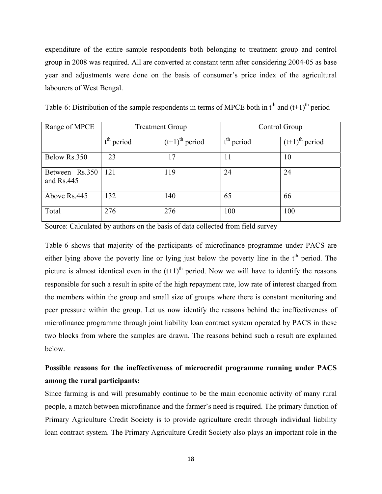expenditure of the entire sample respondents both belonging to treatment group and control group in 2008 was required. All are converted at constant term after considering 2004-05 as base year and adjustments were done on the basis of consumer's price index of the agricultural labourers of West Bengal.

| Table-6: Distribution of the sample respondents in terms of MPCE both in $tth$ and $(t+1)th$ period |  |
|-----------------------------------------------------------------------------------------------------|--|
|-----------------------------------------------------------------------------------------------------|--|

| Range of MPCE                | <b>Treatment Group</b> |                              | Control Group                     |                              |  |
|------------------------------|------------------------|------------------------------|-----------------------------------|------------------------------|--|
|                              | $tth$ period           | $(t+1)$ <sup>th</sup> period | $\overline{t}^{\text{th}}$ period | $(t+1)$ <sup>th</sup> period |  |
| Below Rs.350                 | 23                     | 17                           | 11                                | 10                           |  |
| Between Rs.350<br>and Rs.445 | 121                    | 119                          | 24                                | 24                           |  |
| Above Rs.445                 | 132                    | 140                          | 65                                | 66                           |  |
| Total                        | 276                    | 276                          | 100                               | 100                          |  |

Source: Calculated by authors on the basis of data collected from field survey

Table-6 shows that majority of the participants of microfinance programme under PACS are either lying above the poverty line or lying just below the poverty line in the  $t<sup>th</sup>$  period. The picture is almost identical even in the  $(t+1)$ <sup>th</sup> period. Now we will have to identify the reasons responsible for such a result in spite of the high repayment rate, low rate of interest charged from the members within the group and small size of groups where there is constant monitoring and peer pressure within the group. Let us now identify the reasons behind the ineffectiveness of microfinance programme through joint liability loan contract system operated by PACS in these two blocks from where the samples are drawn. The reasons behind such a result are explained below.

# **Possible reasons for the ineffectiveness of microcredit programme running under PACS among the rural participants:**

Since farming is and will presumably continue to be the main economic activity of many rural people, a match between microfinance and the farmer's need is required. The primary function of Primary Agriculture Credit Society is to provide agriculture credit through individual liability loan contract system. The Primary Agriculture Credit Society also plays an important role in the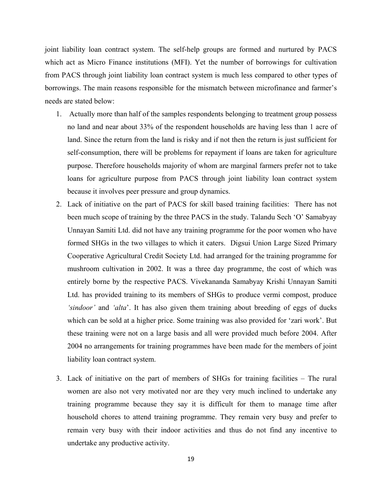joint liability loan contract system. The self-help groups are formed and nurtured by PACS which act as Micro Finance institutions (MFI). Yet the number of borrowings for cultivation from PACS through joint liability loan contract system is much less compared to other types of borrowings. The main reasons responsible for the mismatch between microfinance and farmer's needs are stated below:

- 1. Actually more than half of the samples respondents belonging to treatment group possess no land and near about 33% of the respondent households are having less than 1 acre of land. Since the return from the land is risky and if not then the return is just sufficient for self-consumption, there will be problems for repayment if loans are taken for agriculture purpose. Therefore households majority of whom are marginal farmers prefer not to take loans for agriculture purpose from PACS through joint liability loan contract system because it involves peer pressure and group dynamics.
- 2. Lack of initiative on the part of PACS for skill based training facilities: There has not been much scope of training by the three PACS in the study. Talandu Sech 'O' Samabyay Unnayan Samiti Ltd. did not have any training programme for the poor women who have formed SHGs in the two villages to which it caters. Digsui Union Large Sized Primary Cooperative Agricultural Credit Society Ltd. had arranged for the training programme for mushroom cultivation in 2002. It was a three day programme, the cost of which was entirely borne by the respective PACS. Vivekananda Samabyay Krishi Unnayan Samiti Ltd. has provided training to its members of SHGs to produce vermi compost, produce *'sindoor'* and *'alta*'. It has also given them training about breeding of eggs of ducks which can be sold at a higher price. Some training was also provided for 'zari work'. But these training were not on a large basis and all were provided much before 2004. After 2004 no arrangements for training programmes have been made for the members of joint liability loan contract system.
- 3. Lack of initiative on the part of members of SHGs for training facilities The rural women are also not very motivated nor are they very much inclined to undertake any training programme because they say it is difficult for them to manage time after household chores to attend training programme. They remain very busy and prefer to remain very busy with their indoor activities and thus do not find any incentive to undertake any productive activity.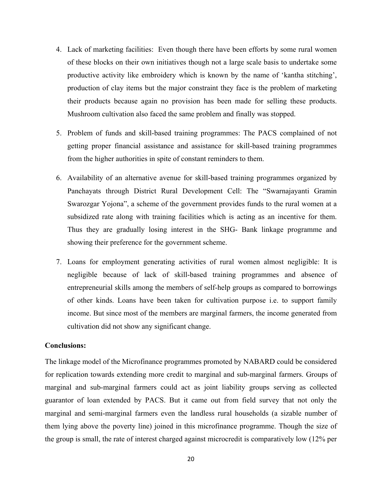- 4. Lack of marketing facilities: Even though there have been efforts by some rural women of these blocks on their own initiatives though not a large scale basis to undertake some productive activity like embroidery which is known by the name of 'kantha stitching', production of clay items but the major constraint they face is the problem of marketing their products because again no provision has been made for selling these products. Mushroom cultivation also faced the same problem and finally was stopped.
- 5. Problem of funds and skill-based training programmes: The PACS complained of not getting proper financial assistance and assistance for skill-based training programmes from the higher authorities in spite of constant reminders to them.
- 6. Availability of an alternative avenue for skill-based training programmes organized by Panchayats through District Rural Development Cell: The "Swarnajayanti Gramin Swarozgar Yojona", a scheme of the government provides funds to the rural women at a subsidized rate along with training facilities which is acting as an incentive for them. Thus they are gradually losing interest in the SHG- Bank linkage programme and showing their preference for the government scheme.
- 7. Loans for employment generating activities of rural women almost negligible: It is negligible because of lack of skill-based training programmes and absence of entrepreneurial skills among the members of self-help groups as compared to borrowings of other kinds. Loans have been taken for cultivation purpose i.e. to support family income. But since most of the members are marginal farmers, the income generated from cultivation did not show any significant change.

#### **Conclusions:**

The linkage model of the Microfinance programmes promoted by NABARD could be considered for replication towards extending more credit to marginal and sub-marginal farmers. Groups of marginal and sub-marginal farmers could act as joint liability groups serving as collected guarantor of loan extended by PACS. But it came out from field survey that not only the marginal and semi-marginal farmers even the landless rural households (a sizable number of them lying above the poverty line) joined in this microfinance programme. Though the size of the group is small, the rate of interest charged against microcredit is comparatively low (12% per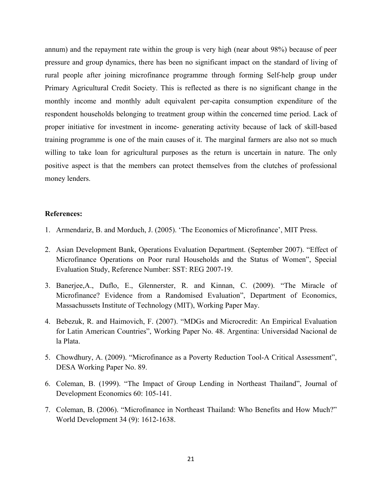annum) and the repayment rate within the group is very high (near about 98%) because of peer pressure and group dynamics, there has been no significant impact on the standard of living of rural people after joining microfinance programme through forming Self-help group under Primary Agricultural Credit Society. This is reflected as there is no significant change in the monthly income and monthly adult equivalent per-capita consumption expenditure of the respondent households belonging to treatment group within the concerned time period. Lack of proper initiative for investment in income- generating activity because of lack of skill-based training programme is one of the main causes of it. The marginal farmers are also not so much willing to take loan for agricultural purposes as the return is uncertain in nature. The only positive aspect is that the members can protect themselves from the clutches of professional money lenders.

#### **References:**

- 1. Armendariz, B. and Morduch, J. (2005). 'The Economics of Microfinance', MIT Press.
- 2. Asian Development Bank, Operations Evaluation Department. (September 2007). "Effect of Microfinance Operations on Poor rural Households and the Status of Women", Special Evaluation Study, Reference Number: SST: REG 2007-19.
- 3. Banerjee,A., Duflo, E., Glennerster, R. and Kinnan, C. (2009). "The Miracle of Microfinance? Evidence from a Randomised Evaluation", Department of Economics, Massachussets Institute of Technology (MIT), Working Paper May.
- 4. Bebezuk, R. and Haimovich, F. (2007). "MDGs and Microcredit: An Empirical Evaluation for Latin American Countries", Working Paper No. 48. Argentina: Universidad Nacional de la Plata.
- 5. Chowdhury, A. (2009). "Microfinance as a Poverty Reduction Tool-A Critical Assessment", DESA Working Paper No. 89.
- 6. Coleman, B. (1999). "The Impact of Group Lending in Northeast Thailand", Journal of Development Economics 60: 105-141.
- 7. Coleman, B. (2006). "Microfinance in Northeast Thailand: Who Benefits and How Much?" World Development 34 (9): 1612-1638.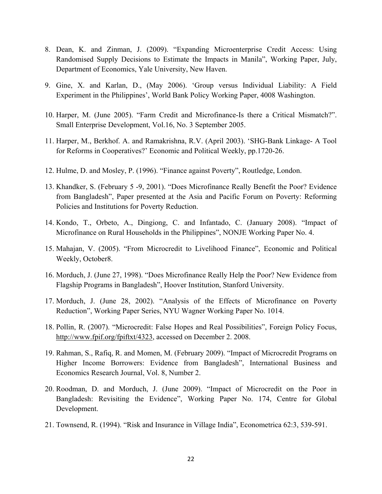- 8. Dean, K. and Zinman, J. (2009). "Expanding Microenterprise Credit Access: Using Randomised Supply Decisions to Estimate the Impacts in Manila", Working Paper, July, Department of Economics, Yale University, New Haven.
- 9. Gine, X. and Karlan, D., (May 2006). 'Group versus Individual Liability: A Field Experiment in the Philippines', World Bank Policy Working Paper, 4008 Washington.
- 10. Harper, M. (June 2005). "Farm Credit and Microfinance-Is there a Critical Mismatch?". Small Enterprise Development, Vol.16, No. 3 September 2005.
- 11. Harper, M., Berkhof. A. and Ramakrishna, R.V. (April 2003). 'SHG-Bank Linkage- A Tool for Reforms in Cooperatives?' Economic and Political Weekly, pp.1720-26.
- 12. Hulme, D. and Mosley, P. (1996). "Finance against Poverty", Routledge, London.
- 13. Khandker, S. (February 5 -9, 2001). "Does Microfinance Really Benefit the Poor? Evidence from Bangladesh", Paper presented at the Asia and Pacific Forum on Poverty: Reforming Policies and Institutions for Poverty Reduction.
- 14. Kondo, T., Orbeto, A., Dingiong, C. and Infantado, C. (January 2008). "Impact of Microfinance on Rural Households in the Philippines", NONJE Working Paper No. 4.
- 15. Mahajan, V. (2005). "From Microcredit to Livelihood Finance", Economic and Political Weekly, October8.
- 16. Morduch, J. (June 27, 1998). "Does Microfinance Really Help the Poor? New Evidence from Flagship Programs in Bangladesh", Hoover Institution, Stanford University.
- 17. Morduch, J. (June 28, 2002). "Analysis of the Effects of Microfinance on Poverty Reduction", Working Paper Series, NYU Wagner Working Paper No. 1014.
- 18. Pollin, R. (2007). "Microcredit: False Hopes and Real Possibilities", Foreign Policy Focus, http://www.fpif.org/fpiftxt/4323, accessed on December 2. 2008.
- 19. Rahman, S., Rafiq, R. and Momen, M. (February 2009). "Impact of Microcredit Programs on Higher Income Borrowers: Evidence from Bangladesh", International Business and Economics Research Journal, Vol. 8, Number 2.
- 20. Roodman, D. and Morduch, J. (June 2009). "Impact of Microcredit on the Poor in Bangladesh: Revisiting the Evidence", Working Paper No. 174, Centre for Global Development.
- 21. Townsend, R. (1994). "Risk and Insurance in Village India", Econometrica 62:3, 539-591.